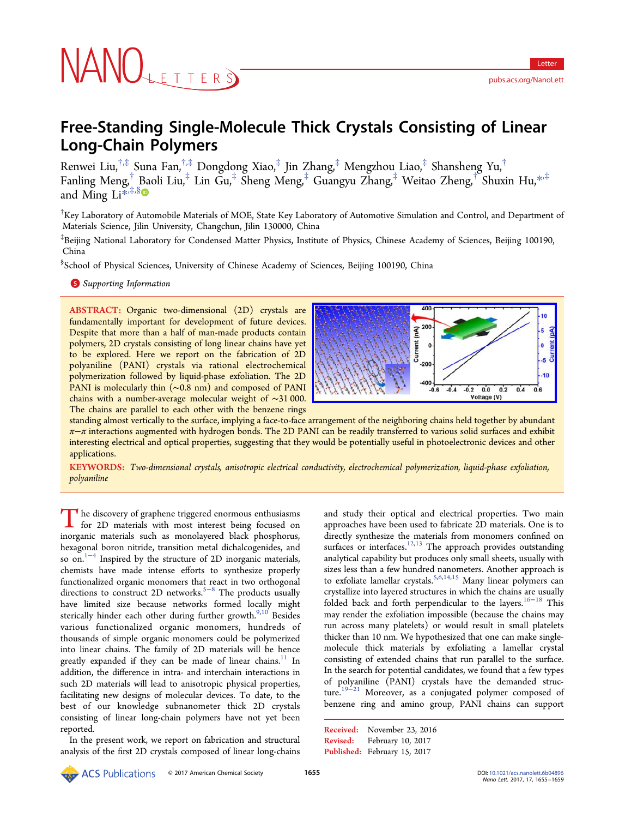# **JAINULETTERS**

# Free-Standing Single-Molecule Thick Crystals Consisting of Linear Long-Chain Polymers

Renwei Liu,†,‡ Suna Fan,†,‡ Dongdong Xiao,‡ Jin Zhang,‡ Mengzhou Liao,‡ Shansheng Yu,† Fanling Meng,† Baoli Liu,‡ Lin Gu,‡ Sheng Meng,‡ Guangyu Zhang,‡ Weitao Zheng,† Shuxin Hu,\*,‡ and Ming  $Li^{*,\ddag,\S}$ 

† Key Laborator[y o](#page-3-0)f [Aut](#page-3-0)omobile Materials of MOE, State Key Laboratory of Automotive Simulation and Control, and Department of Materials Science, Jilin University, Changchun, Jilin 130000, China

‡ Beijing National Laboratory for Condensed Matter Physics, Institute of Physics, Chinese Academy of Sciences, Beijing 100190, China

§ School of Physical Sciences, University of Chinese Academy of Sciences, Beijing 100190, China

S Supporting Information

[AB](#page-3-0)STRACT: [Organic two](#page-3-0)-dimensional (2D) crystals are fundamentally important for development of future devices. Despite that more than a half of man-made products contain polymers, 2D crystals consisting of long linear chains have yet to be explored. Here we report on the fabrication of 2D polyaniline (PANI) crystals via rational electrochemical polymerization followed by liquid-phase exfoliation. The 2D PANI is molecularly thin (∼0.8 nm) and composed of PANI chains with a number-average molecular weight of ∼31 000. The chains are parallel to each other with the benzene rings



standing almost vertically to the surface, implying a face-to-face a[rrangement of the neighboring chains held together by abundant](http://pubs.acs.org/action/showImage?doi=10.1021/acs.nanolett.6b04896&iName=master.img-000.jpg&w=238&h=94)  $\pi-\pi$  interactions augmented with hydrogen bonds. The 2D PANI can be readily transferred to various solid surfaces and exhibit interesting electrical and optical properties, suggesting that they would be potentially useful in photoelectronic devices and other applications.

KEYWORDS: Two-dimensional crystals, anisotropic electrical conductivity, electrochemical polymerization, liquid-phase exfoliation, polyaniline

The discovery of graphene triggered enormous enthusiasms<br>for 2D materials with most interest being focused on<br>increasing materials such as monolayered block phoenhome inorganic materials such as monolayered black phosphorus, hexagonal boron nitride, transition metal dichalcogenides, and so on. $1^{-4}$  Inspired by the structure of 2D inorganic materials, chemists have made intense efforts to synthesize properly functi[onal](#page-4-0)ized organic monomers that react in two orthogonal directions to construct 2D networks.<sup>5−8</sup> The products usually have limited size because networks formed locally might sterically hinder each other d[ur](#page-4-0)ing furt[h](#page-4-0)er growth. $9,10$  Besides various functionalized organic monomers, hundreds of thousands of simple organic monomers could be [poly](#page-4-0)merized into linear chains. The family of 2D materials will be hence greatly expanded if they can be made of linear chains.<sup>11</sup> In addition, the difference in intra- and interchain interactions in such 2D materials will lead to anisotropic physical prop[ert](#page-4-0)ies, facilitating new designs of molecular devices. To date, to the best of our knowledge subnanometer thick 2D crystals consisting of linear long-chain polymers have not yet been reported.

In the present work, we report on fabrication and structural analysis of the first 2D crystals composed of linear long-chains

and study their optical and electrical properties. Two main approaches have been used to fabricate 2D materials. One is to directly synthesize the materials from monomers confined on surfaces or interfaces.<sup>12,13</sup> The approach provides outstanding analytical capability but produces only small sheets, usually with sizes less than a few [hundr](#page-4-0)ed nanometers. Another approach is to exfoliate lamellar crystals.<sup>5,6,14,15</sup> Many linear polymers can crystallize into layered structures in which the chains are usually folded back and forth perp[endicul](#page-4-0)ar to the layers.<sup>16−18</sup> This may render the exfoliation impossible (because the chains may run across many platelets) or would result in sm[all](#page-4-0) [pla](#page-4-0)telets thicker than 10 nm. We hypothesized that one can make singlemolecule thick materials by exfoliating a lamellar crystal consisting of extended chains that run parallel to the surface. In the search for potential candidates, we found that a few types of polyaniline (PANI) crystals have the demanded structure.<sup>19−21</sup> Moreover, as a conjugated polymer composed of benzene ring and amino group, PANI chains can support

Received: November 23, 2016 Revised: February 10, 2017 Published: February 15, 2017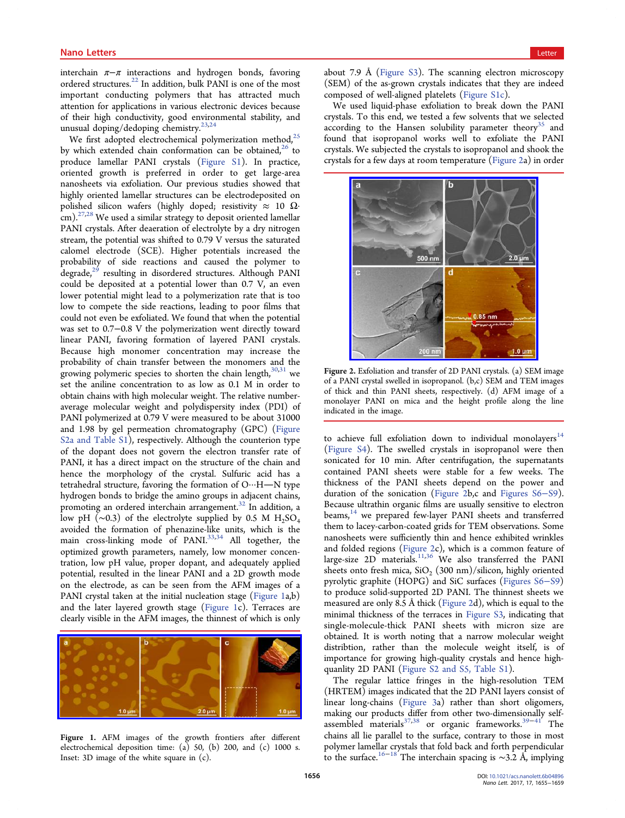<span id="page-1-0"></span>interchain  $\pi-\pi$  interactions and hydrogen bonds, favoring ordered structures.<sup>22</sup> In addition, bulk PANI is one of the most important conducting polymers that has attracted much attention for appli[cat](#page-4-0)ions in various electronic devices because of their high conductivity, good environmental stability, and unusual doping/dedoping chemistry. $23,24$ 

We first adopted electrochemical polymerization method, $25$ by which extended chain conformat[ion](#page-4-0) can be obtained,<sup>26</sup> to produce lamellar PANI crystals (Figure S1). In practi[ce,](#page-4-0) oriented growth is preferred in order to get large[-ar](#page-4-0)ea nanosheets via exfoliation. Our pre[vious studie](http://pubs.acs.org/doi/suppl/10.1021/acs.nanolett.6b04896/suppl_file/nl6b04896_si_001.pdf)s showed that highly oriented lamellar structures can be electrodeposited on polished silicon wafers (highly doped; resistivity  $\approx 10 \Omega$ · cm).<sup>27,28</sup> We used a similar strategy to deposit oriented lamellar PANI crystals. After deaeration of electrolyte by a dry nitrogen stre[am, t](#page-4-0)he potential was shifted to 0.79 V versus the saturated calomel electrode (SCE). Higher potentials increased the probability of side reactions and caused the polymer to  $\text{degree}^2$  resulting in disordered structures. Although PANI could be deposited at a potential lower than 0.7 V, an even lower p[ote](#page-4-0)ntial might lead to a polymerization rate that is too low to compete the side reactions, leading to poor films that could not even be exfoliated. We found that when the potential was set to 0.7−0.8 V the polymerization went directly toward linear PANI, favoring formation of layered PANI crystals. Because high monomer concentration may increase the probability of chain transfer between the monomers and the growing polymeric species to shorten the chain length, $30,31$  we set the aniline concentration to as low as 0.1 M in order to obtain chains with high molecular weight. The relative [numb](#page-4-0)eraverage molecular weight and polydispersity index (PDI) of PANI polymerized at 0.79 V were measured to be about 31000 and 1.98 by gel permeation chromatography (GPC) (Figure S2a and Table S1), respectively. Although the counterion type of the dopant does not govern the electron transfer [rate of](http://pubs.acs.org/doi/suppl/10.1021/acs.nanolett.6b04896/suppl_file/nl6b04896_si_001.pdf) [PANI, it has a dir](http://pubs.acs.org/doi/suppl/10.1021/acs.nanolett.6b04896/suppl_file/nl6b04896_si_001.pdf)ect impact on the structure of the chain and hence the morphology of the crystal. Sulfuric acid has a tetrahedral structure, favoring the formation of  $O \cdots H - N$  type hydrogen bonds to bridge the amino groups in adjacent chains, promoting an ordered interchain arrangement.<sup>32</sup> In addition, a low pH ( $\sim$ 0.3) of the electrolyte supplied by 0.5 M H<sub>2</sub>SO<sub>4</sub> avoided the formation of phenazine-like uni[ts,](#page-4-0) which is the main cross-linking mode of PANI.<sup>33,34</sup> All together, the optimized growth parameters, namely, low monomer concentration, low pH value, proper dopant, [and](#page-4-0) adequately applied potential, resulted in the linear PANI and a 2D growth mode on the electrode, as can be seen from the AFM images of a PANI crystal taken at the initial nucleation stage (Figure 1a,b) and the later layered growth stage (Figure 1c). Terraces are clearly visible in the AFM images, the thinnest of which is only



Figure 1. [AFM images of the growth frontiers after di](http://pubs.acs.org/action/showImage?doi=10.1021/acs.nanolett.6b04896&iName=master.img-001.jpg&w=239&h=79)fferent electrochemical deposition time: (a) 50, (b) 200, and (c) 1000 s. Inset: 3D image of the white square in (c).

about 7.9 Å (Figure S3). The scanning electron microscopy (SEM) of the as-grown crystals indicates that they are indeed composed of [well-aligned](http://pubs.acs.org/doi/suppl/10.1021/acs.nanolett.6b04896/suppl_file/nl6b04896_si_001.pdf) platelets (Figure S1c).

We used liquid-phase exfoliation to break down the PANI crystals. To this end, we tested a fe[w solvents t](http://pubs.acs.org/doi/suppl/10.1021/acs.nanolett.6b04896/suppl_file/nl6b04896_si_001.pdf)hat we selected according to the Hansen solubility parameter theory<sup>35</sup> and found that isopropanol works well to exfoliate the PANI crystals. We subjected the crystals to isopropanol and sh[oo](#page-4-0)k the crystals for a few days at room temperature (Figure 2a) in order



Figure 2. [Exfoliation and transfer of 2D PANI crystals. \(a\) SEM](http://pubs.acs.org/action/showImage?doi=10.1021/acs.nanolett.6b04896&iName=master.img-002.jpg&w=183&h=178) image of a PANI crystal swelled in isopropanol. (b,c) SEM and TEM images of thick and thin PANI sheets, respectively. (d) AFM image of a monolayer PANI on mica and the height profile along the line indicated in the image.

to achieve full exfoliation down to individual monolayers $^{14}$ (Figure S4). The swelled crystals in isopropanol were then sonicated for 10 min. After centrifugation, the supernata[nts](#page-4-0) [contained](http://pubs.acs.org/doi/suppl/10.1021/acs.nanolett.6b04896/suppl_file/nl6b04896_si_001.pdf) PANI sheets were stable for a few weeks. The thickness of the PANI sheets depend on the power and duration of the sonication (Figure 2b,c and Figures S6−S9). Because ultrathin organic films are usually sensitive to electron beams,<sup>14</sup> we prepared few-layer PANI sheet[s and transferre](http://pubs.acs.org/doi/suppl/10.1021/acs.nanolett.6b04896/suppl_file/nl6b04896_si_001.pdf)d them to lacey-carbon-coated grids for TEM observations. Some nanos[hee](#page-4-0)ts were sufficiently thin and hence exhibited wrinkles and folded regions (Figure 2c), which is a common feature of large-size 2D materials. $^{11,36}$  We also transferred the PANI sheets onto fresh mica,  $SiO_2$  (300 nm)/silicon, highly oriented pyrolytic graphite (HO[PG\) a](#page-4-0)nd SiC surfaces (Figures S6−S9) to produce solid-supported 2D PANI. The thinnest sheets we measured are only 8.5 Å thick (Figure 2d), whi[ch is equal to the](http://pubs.acs.org/doi/suppl/10.1021/acs.nanolett.6b04896/suppl_file/nl6b04896_si_001.pdf) minimal thickness of the terraces in Figure S3, indicating that single-molecule-thick PANI sheets with micron size are obtained. It is worth noting that a [narrow m](http://pubs.acs.org/doi/suppl/10.1021/acs.nanolett.6b04896/suppl_file/nl6b04896_si_001.pdf)olecular weight distribtion, rather than the molecule weight itself, is of importance for growing high-quality crystals and hence highquanlity 2D PANI (Figure S2 and S5, Table S1).

The regular lattice fringes in the high-resolution TEM (HRTEM) images i[ndicated that the 2D PANI la](http://pubs.acs.org/doi/suppl/10.1021/acs.nanolett.6b04896/suppl_file/nl6b04896_si_001.pdf)yers consist of linear long-chains (Figure 3a) rather than short oligomers, making our products differ from other two-dimensionally selfassembled materials<sup>37,38</sup> or organic frameworks.<sup>39−41</sup> The chains all lie parallel [to](#page-2-0) [the](#page-2-0) [su](#page-2-0)rface, contrary to those in most polymer lamellar cry[stals](#page-4-0) that fold back and forth pe[rpend](#page-4-0)icular to the surface.<sup>16−18</sup> The interchain spacing is ~3.2 Å, implying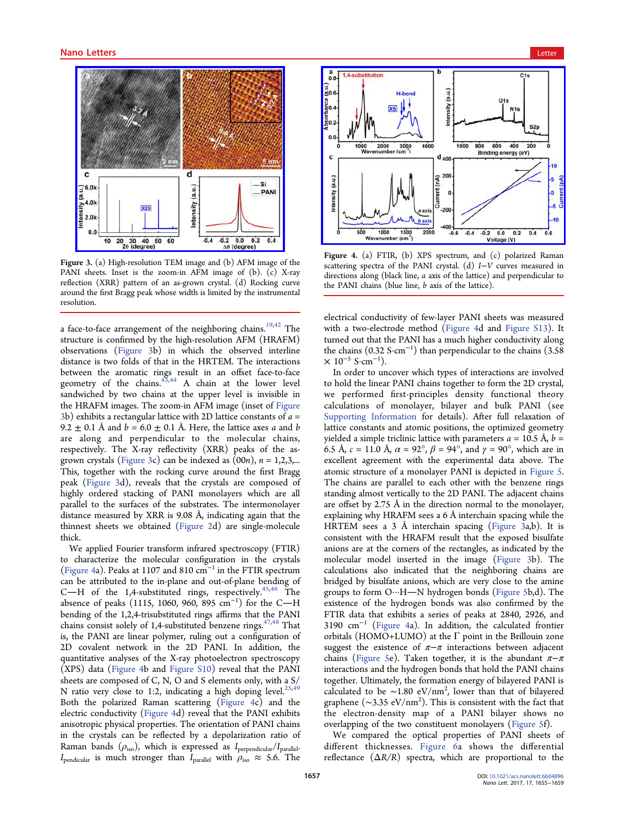

Figure 3. [\(a\) High-resolution TEM image and \(b\) AFM image o](http://pubs.acs.org/action/showImage?doi=10.1021/acs.nanolett.6b04896&iName=master.img-003.jpg&w=204&h=180)f the PANI sheets. Inset is the zoom-in AFM image of (b). (c) X-ray reflection (XRR) pattern of an as-grown crystal. (d) Rocking curve around the first Bragg peak whose width is limited by the instrumental resolution.

a face-to-face arrangement of the neighboring chains.<sup>19,42</sup> The structure is confirmed by the high-resolution AFM (HRAFM) observations (Figure 3b) in which the observed [inte](#page-4-0)rline distance is two folds of that in the HRTEM. The interactions between the aromatic rings result in an offset face-to-face geometry of the chains. $43,44$  A chain at the lower level sandwiched by two chains at the upper level is invisible in the HRAFM images. The [zoom](#page-4-0)-in AFM image (inset of Figure 3b) exhibits a rectangular lattice with 2D lattice constants of  $a =$ 9.2  $\pm$  0.1 Å and  $b = 6.0 \pm 0.1$  Å. Here, the lattice axes a and b are along and perpendicular to the molecular chains, respectively. The X-ray reflectivity (XRR) peaks of the asgrown crystals (Figure 3c) can be indexed as  $(00n)$ ,  $n = 1,2,3,...$ This, together with the rocking curve around the first Bragg peak (Figure 3d), reveals that the crystals are composed of highly ordered stacking of PANI monolayers which are all parallel to the surfaces of the substrates. The intermonolayer distance measured by XRR is 9.08 Å, indicating again that the thinnest sheets we obtained (Figure 2d) are single-molecule thick.

We applied Fourier transfor[m infrared](#page-1-0) spectroscopy (FTIR) to characterize the molecular configuration in the crystals (Figure 4a). Peaks at 1107 and 810 cm<sup>−</sup><sup>1</sup> in the FTIR spectrum can be attributed to the in-plane and out-of-plane bending of C-H of the 1,4-substituted rings, respectively.<sup>45,46</sup> The absence of peaks (1115, 1060, 960, 895 cm<sup>-1</sup>) for the C—H bending of the 1,2,4-trisubstituted rings affirms that [the](#page-4-0) PANI chains consist solely of 1,4-substituted benzene rings. $47,48$  That is, the PANI are linear polymer, ruling out a configuration of 2D covalent network in the 2D PANI. In add[ition](#page-4-0), the quantitative analyses of the X-ray photoelectron spectroscopy (XPS) data (Figure 4b and Figure S10) reveal that the PANI sheets are composed of C, N, O and S elements only, with a S/ N ratio very close to 1:2, i[ndicating a](http://pubs.acs.org/doi/suppl/10.1021/acs.nanolett.6b04896/suppl_file/nl6b04896_si_001.pdf) high doping level.<sup>25,49</sup> Both the polarized Raman scattering (Figure 4c) and the electric conductivity (Figure 4d) reveal that the PANI exh[ibits](#page-4-0) anisotropic physical properties. The orientation of PANI chains in the crystals can be reflected by a depolarization ratio of Raman bands  $(\rho_{\rm iso})$ , which is expressed as  $I_{\rm perpendicular}/I_{\rm parallel}$ .  $I_{\text{pendicular}}$  is much stronger than  $I_{\text{parallel}}$  with  $\rho_{\text{iso}} \approx 5.6$ . The

<span id="page-2-0"></span>

Figure 4. [\(a\) FTIR, \(b\) XPS spectrum, and \(c\) polarized Raman](http://pubs.acs.org/action/showImage?doi=10.1021/acs.nanolett.6b04896&iName=master.img-004.jpg&w=239&h=173) scattering spectra of the PANI crystal. (d) I–V curves measured in directions along (black line, a axis of the lattice) and perpendicular to the PANI chains (blue line, b axis of the lattice).

electrical conductivity of few-layer PANI sheets was measured with a two-electrode method (Figure 4d and Figure S13). It turned out that the PANI has a much higher conductivity along the chains  $(0.32 \text{ S} \cdot \text{cm}^{-1})$  than perpendicular to the chains  $(3.58$  $\times$  10<sup>-5</sup> S·cm<sup>-1</sup>).

In order to uncover which types of interactions are involved to hold the linear PANI chains together to form the 2D crystal, we performed first-principles density functional theory calculations of monolayer, bilayer and bulk PANI (see Supporting Information for details). After full relaxation of lattice constants and atomic positions, the optimized geometry [yielded a simple triclinic](http://pubs.acs.org/doi/suppl/10.1021/acs.nanolett.6b04896/suppl_file/nl6b04896_si_001.pdf) lattice with parameters  $a = 10.5 \text{ Å}, b =$ 6.5 Å,  $c = 11.0$  Å,  $\alpha = 92^\circ$ ,  $\beta = 94^\circ$ , and  $\gamma = 90^\circ$ , which are in excellent agreement with the experimental data above. The atomic structure of a monolayer PANI is depicted in Figure 5. The chains are parallel to each other with the benzene rings standing almost vertically to the 2D PANI. The adjac[ent chains](#page-3-0) are offset by 2.75 Å in the direction normal to the monolayer, explaining why HRAFM sees a 6 Å interchain spacing while the HRTEM sees a 3 Å interchain spacing (Figure 3a,b). It is consistent with the HRAFM result that the exposed bisulfate anions are at the corners of the rectangles, as indicated by the molecular model inserted in the image (Figure 3b). The calculations also indicated that the neighboring chains are bridged by bisulfate anions, which are very close to the amine groups to form O···H-N hydrogen bonds (Figure 5b,d). The existence of the hydrogen bonds was also confirmed by the FTIR data that exhibits a series of peaks at [2840, 2](#page-3-0)926, and 3190 cm<sup>−</sup><sup>1</sup> (Figure 4a). In addition, the calculated frontier orbitals (HOMO+LUMO) at the Γ point in the Brillouin zone suggest the existence of  $\pi-\pi$  interactions between adjacent chains (Figure 5e). Taken together, it is the abundant  $\pi-\pi$ interactions and the hydrogen bonds that hold the PANI chains together[. Ultimate](#page-3-0)ly, the formation energy of bilayered PANI is calculated to be  $\sim$ 1.80 eV/nm<sup>2</sup>, lower than that of bilayered graphene (~3.35 eV/nm<sup>2</sup>). This is consistent with the fact that the electron-density map of a PANI bilayer shows no overlapping of the two constituent monolayers (Figure 5f).

We compared the optical properties of PANI sheets of different thicknesses. Figure 6a shows the differential reflectance  $(\Delta R/R)$  spectra, which are propo[rtional](#page-3-0) [to](#page-3-0) the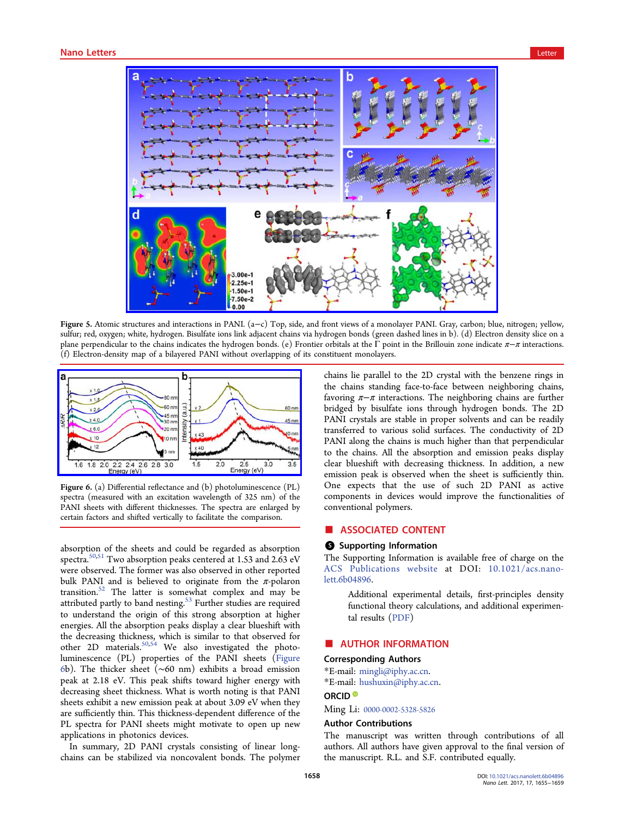<span id="page-3-0"></span>

Figure 5. Atomic structures and interactions in PANI. (a−c) Top, side, and front views of a monolayer PANI. Gray, carbon; blue, nitrogen; yellow, sulfur; red, oxygen; [white, hydrogen. Bisulfate ions link adjacent chains via hydrogen bonds \(green dashed lines in b\). \(d\) Electro](http://pubs.acs.org/action/showImage?doi=10.1021/acs.nanolett.6b04896&iName=master.img-005.jpg&w=367&h=241)n density slice on a plane perpendicular to the chains indicates the hydrogen bonds. (e) Frontier orbitals at the Γ point in the Brillouin zone indicate  $\pi-\pi$  interactions. (f) Electron-density map of a bilayered PANI without overlapping of its constituent monolayers.



Figure 6. (a) Differential reflectance and (b) photoluminescence (PL) [spectra \(measured with an excitation wavelength of 325 nm\) of the](http://pubs.acs.org/action/showImage?doi=10.1021/acs.nanolett.6b04896&iName=master.img-006.jpg&w=239&h=101) PANI sheets with different thicknesses. The spectra are enlarged by certain factors and shifted vertically to facilitate the comparison.

absorption of the sheets and could be regarded as absorption spectra.<sup>50,51</sup> Two absorption peaks centered at 1.53 and 2.63 eV were observed. The former was also observed in other reported bulk P[ANI](#page-4-0) and is believed to originate from the  $\pi$ -polaron transition.<sup>52</sup> The latter is somewhat complex and may be attributed partly to band nesting.<sup>53</sup> Further studies are required to under[sta](#page-4-0)nd the origin of this strong absorption at higher energies. All the absorption pea[ks](#page-4-0) display a clear blueshift with the decreasing thickness, which is similar to that observed for other 2D materials.50,54 We also investigated the photoluminescence (PL) properties of the PANI sheets (Figure 6b). The thicker sh[eet \(](#page-4-0)∼60 nm) exhibits a broad emission peak at 2.18 eV. This peak shifts toward higher energy with decreasing sheet thickness. What is worth noting is that PANI sheets exhibit a new emission peak at about 3.09 eV when they are sufficiently thin. This thickness-dependent difference of the PL spectra for PANI sheets might motivate to open up new applications in photonics devices.

In summary, 2D PANI crystals consisting of linear longchains can be stabilized via noncovalent bonds. The polymer chains lie parallel to the 2D crystal with the benzene rings in the chains standing face-to-face between neighboring chains, favoring  $\pi-\pi$  interactions. The neighboring chains are further bridged by bisulfate ions through hydrogen bonds. The 2D PANI crystals are stable in proper solvents and can be readily transferred to various solid surfaces. The conductivity of 2D PANI along the chains is much higher than that perpendicular to the chains. All the absorption and emission peaks display clear blueshift with decreasing thickness. In addition, a new emission peak is observed when the sheet is sufficiently thin. One expects that the use of such 2D PANI as active components in devices would improve the functionalities of conventional polymers.

# ■ ASSOCIATED CONTENT

#### **6** Supporting Information

The Supporting Information is available free of charge on the ACS Publications website at DOI: 10.1021/acs.nanolett.6b04896.

[Additional experimenta](http://pubs.acs.org)l details, fir[st-principles density](http://pubs.acs.org/doi/abs/10.1021/acs.nanolett.6b04896) [functio](http://pubs.acs.org/doi/abs/10.1021/acs.nanolett.6b04896)nal theory calculations, and additional experimental results (PDF)

# ■ AUTHOR I[NFOR](http://pubs.acs.org/doi/suppl/10.1021/acs.nanolett.6b04896/suppl_file/nl6b04896_si_001.pdf)MATION

#### Corresponding Authors

\*E-mail: mingli@iphy.ac.cn.

\*E-mail: hushuxin@iphy.ac.cn.

#### ORCID<sup>®</sup>

Ming Li: [0000-0002-5328-5826](mailto:hushuxin@iphy.ac.cn)

#### Author Contributions

The man[uscript was writte](http://orcid.org/0000-0002-5328-5826)n through contributions of all authors. All authors have given approval to the final version of the manuscript. R.L. and S.F. contributed equally.